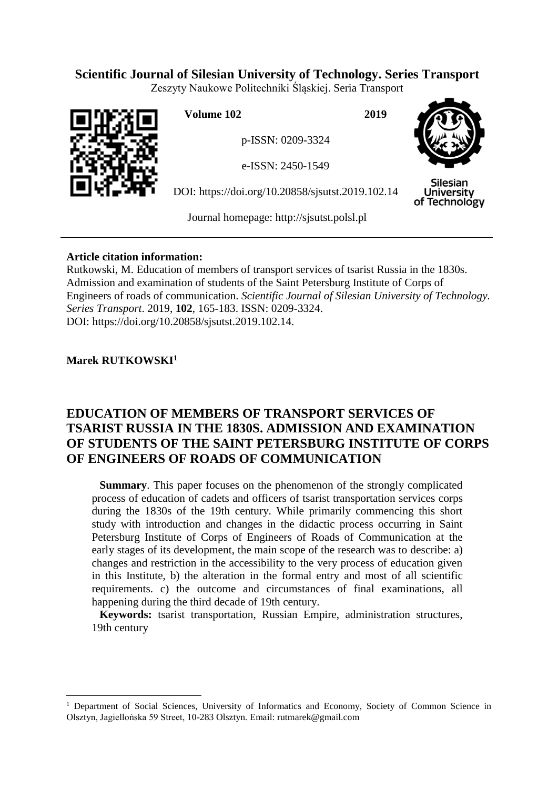# **Scientific Journal of Silesian University of Technology. Series Transport**

Zeszyty Naukowe Politechniki Śląskiej. Seria Transport



**Volume 102 2019**

p-ISSN: 0209-3324

e-ISSN: 2450-1549

DOI: https://doi.org/10.20858/sjsutst.2019.102.14



Silesian University of Technology

Journal homepage: [http://sjsutst.polsl.pl](http://sjsutst.polsl.pl/)

## **Article citation information:**

Rutkowski, M. Education of members of transport services of tsarist Russia in the 1830s. Admission and examination of students of the Saint Petersburg Institute of Corps of Engineers of roads of communication. *Scientific Journal of Silesian University of Technology. Series Transport*. 2019, **102**, 165-183. ISSN: 0209-3324. DOI: https://doi.org/10.20858/sjsutst.2019.102.14.

## **Marek RUTKOWSKI<sup>1</sup>**

 $\overline{a}$ 

# **EDUCATION OF MEMBERS OF TRANSPORT SERVICES OF TSARIST RUSSIA IN THE 1830S. ADMISSION AND EXAMINATION OF STUDENTS OF THE SAINT PETERSBURG INSTITUTE OF CORPS OF ENGINEERS OF ROADS OF COMMUNICATION**

**Summary**. This paper focuses on the phenomenon of the strongly complicated process of education of cadets and officers of tsarist transportation services corps during the 1830s of the 19th century. While primarily commencing this short study with introduction and changes in the didactic process occurring in Saint Petersburg Institute of Corps of Engineers of Roads of Communication at the early stages of its development, the main scope of the research was to describe: a) changes and restriction in the accessibility to the very process of education given in this Institute, b) the alteration in the formal entry and most of all scientific requirements. c) the outcome and circumstances of final examinations, all happening during the third decade of 19th century.

**Keywords:** tsarist transportation, Russian Empire, administration structures, 19th century

<sup>1</sup> Department of Social Sciences, University of Informatics and Economy, Society of Common Science in Olsztyn, Jagiellońska 59 Street, 10-283 Olsztyn. Email: rutmarek@gmail.com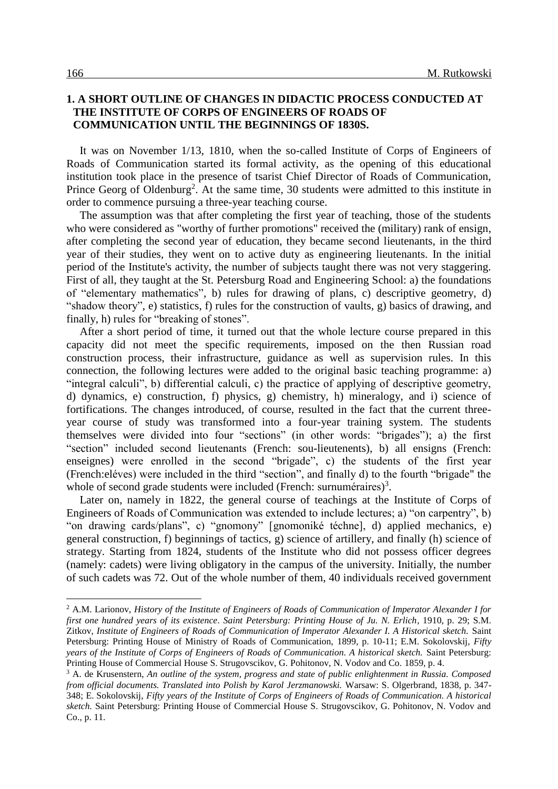#### **1. A SHORT OUTLINE OF CHANGES IN DIDACTIC PROCESS CONDUCTED AT THE INSTITUTE OF CORPS OF ENGINEERS OF ROADS OF COMMUNICATION UNTIL THE BEGINNINGS OF 1830S.**

It was on November 1/13, 1810, when the so-called Institute of Corps of Engineers of Roads of Communication started its formal activity, as the opening of this educational institution took place in the presence of tsarist Chief Director of Roads of Communication, Prince Georg of Oldenburg<sup>2</sup>. At the same time, 30 students were admitted to this institute in order to commence pursuing a three-year teaching course.

The assumption was that after completing the first year of teaching, those of the students who were considered as "worthy of further promotions" received the (military) rank of ensign, after completing the second year of education, they became second lieutenants, in the third year of their studies, they went on to active duty as engineering lieutenants. In the initial period of the Institute's activity, the number of subjects taught there was not very staggering. First of all, they taught at the St. Petersburg Road and Engineering School: a) the foundations of "elementary mathematics", b) rules for drawing of plans, c) descriptive geometry, d) "shadow theory", e) statistics, f) rules for the construction of vaults, g) basics of drawing, and finally, h) rules for "breaking of stones".

After a short period of time, it turned out that the whole lecture course prepared in this capacity did not meet the specific requirements, imposed on the then Russian road construction process, their infrastructure, guidance as well as supervision rules. In this connection, the following lectures were added to the original basic teaching programme: a) "integral calculi", b) differential calculi, c) the practice of applying of descriptive geometry, d) dynamics, e) construction, f) physics, g) chemistry, h) mineralogy, and i) science of fortifications. The changes introduced, of course, resulted in the fact that the current threeyear course of study was transformed into a four-year training system. The students themselves were divided into four "sections" (in other words: "brigades"); a) the first "section" included second lieutenants (French: sou-lieutenents), b) all ensigns (French: enseignes) were enrolled in the second "brigade", c) the students of the first year (French:eléves) were included in the third "section", and finally d) to the fourth "brigade" the whole of second grade students were included (French: surnuméraires)<sup>3</sup>.

Later on, namely in 1822, the general course of teachings at the Institute of Corps of Engineers of Roads of Communication was extended to include lectures; a) "on carpentry", b) "on drawing cards/plans", c) "gnomony" [gnomoniké téchne], d) applied mechanics, e) general construction, f) beginnings of tactics, g) science of artillery, and finally (h) science of strategy. Starting from 1824, students of the Institute who did not possess officer degrees (namely: cadets) were living obligatory in the campus of the university. Initially, the number of such cadets was 72. Out of the whole number of them, 40 individuals received government

<sup>2</sup> A.M. Larionov, *History of the Institute of Engineers of Roads of Communication of Imperator Alexander I for first one hundred years of its existence. Saint Petersburg: Printing House of Ju. N. Erlich*, 1910, p. 29; S.M. Zitkov, *Institute of Engineers of Roads of Communication of Imperator Alexander I. A Historical sketch.* Saint Petersburg: Printing House of Ministry of Roads of Communication, 1899, p. 10-11; E.M. Sokolovskij, *Fifty years of the Institute of Corps of Engineers of Roads of Communication. A historical sketch.* Saint Petersburg: Printing House of Commercial House S. Strugovscikov, G. Pohitonov, N. Vodov and Co. 1859, p. 4.

<sup>3</sup> A. de Krusenstern, *An outline of the system, progress and state of public enlightenment in Russia. Composed from official documents. Translated into Polish by Karol Jerzmanowski.* Warsaw: S. Olgerbrand, 1838, p. 347- 348; E. Sokolovskij, *Fifty years of the Institute of Corps of Engineers of Roads of Communication. A historical sketch.* Saint Petersburg: Printing House of Commercial House S. Strugovscikov, G. Pohitonov, N. Vodov and Co., p. 11.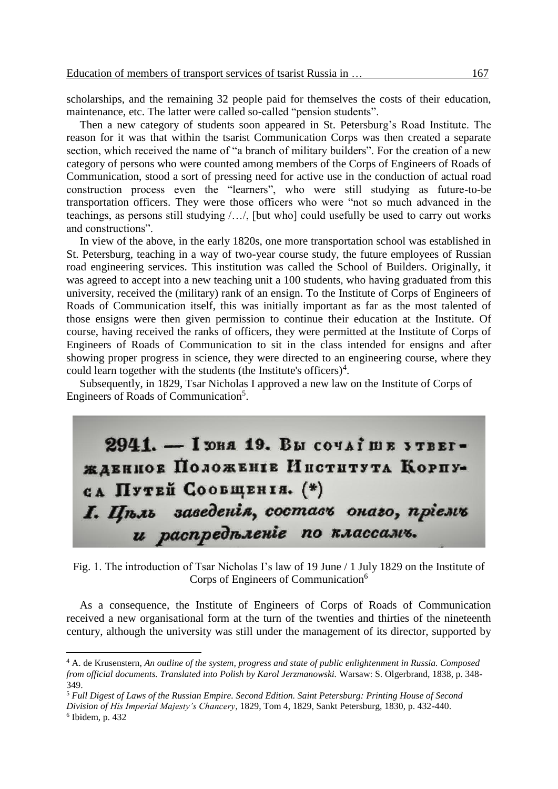scholarships, and the remaining 32 people paid for themselves the costs of their education, maintenance, etc. The latter were called so-called "pension students".

Then a new category of students soon appeared in St. Petersburg's Road Institute. The reason for it was that within the tsarist Communication Corps was then created a separate section, which received the name of "a branch of military builders". For the creation of a new category of persons who were counted among members of the Corps of Engineers of Roads of Communication, stood a sort of pressing need for active use in the conduction of actual road construction process even the "learners", who were still studying as future-to-be transportation officers. They were those officers who were "not so much advanced in the teachings, as persons still studying /…/, [but who] could usefully be used to carry out works and constructions".

In view of the above, in the early 1820s, one more transportation school was established in St. Petersburg, teaching in a way of two-year course study, the future employees of Russian road engineering services. This institution was called the School of Builders. Originally, it was agreed to accept into a new teaching unit a 100 students, who having graduated from this university, received the (military) rank of an ensign. To the Institute of Corps of Engineers of Roads of Communication itself, this was initially important as far as the most talented of those ensigns were then given permission to continue their education at the Institute. Of course, having received the ranks of officers, they were permitted at the Institute of Corps of Engineers of Roads of Communication to sit in the class intended for ensigns and after showing proper progress in science, they were directed to an engineering course, where they could learn together with the students (the Institute's officers)<sup>4</sup>.

Subsequently, in 1829, Tsar Nicholas I approved a new law on the Institute of Corps of Engineers of Roads of Communication<sup>5</sup>.

 $2941. -$  I DHA 19. Вы сочатше утвегждвниов Положение Института Корпуса Путей Сообщентя. (\*) І. Цъль заведенія, составъ онаго, пріемъ и распредъление по классамъ.

Fig. 1. The introduction of Tsar Nicholas I's law of 19 June / 1 July 1829 on the Institute of Corps of Engineers of Communication<sup>6</sup>

As a consequence, the Institute of Engineers of Corps of Roads of Communication received a new organisational form at the turn of the twenties and thirties of the nineteenth century, although the university was still under the management of its director, supported by

<sup>4</sup> A. de Krusenstern, *An outline of the system, progress and state of public enlightenment in Russia. Composed from official documents. Translated into Polish by Karol Jerzmanowski.* Warsaw: S. Olgerbrand, 1838, p. 348- 349.

<sup>5</sup> *Full Digest of Laws of the Russian Empire. Second Edition. Saint Petersburg: Printing House of Second Division of His Imperial Majesty's Chancery*, 1829, Tom 4, 1829, Sankt Petersburg, 1830, p. 432-440. 6 Ibidem, p. 432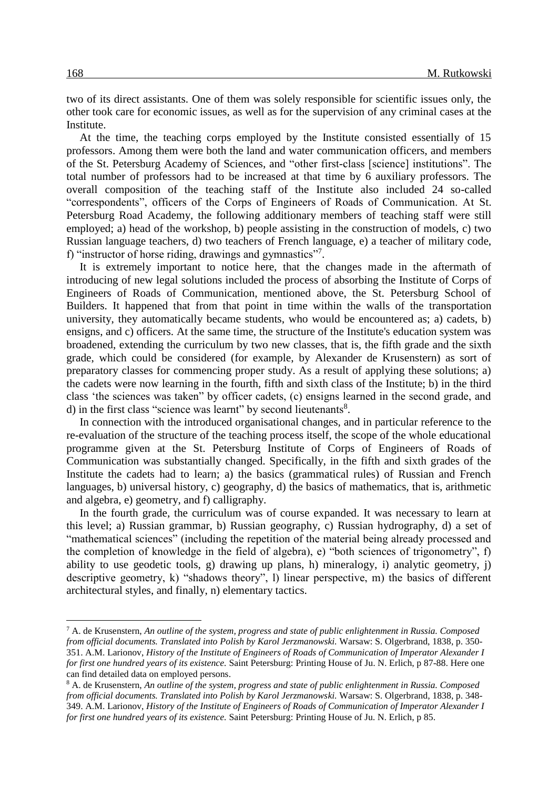two of its direct assistants. One of them was solely responsible for scientific issues only, the other took care for economic issues, as well as for the supervision of any criminal cases at the Institute.

At the time, the teaching corps employed by the Institute consisted essentially of 15 professors. Among them were both the land and water communication officers, and members of the St. Petersburg Academy of Sciences, and "other first-class [science] institutions". The total number of professors had to be increased at that time by 6 auxiliary professors. The overall composition of the teaching staff of the Institute also included 24 so-called "correspondents", officers of the Corps of Engineers of Roads of Communication. At St. Petersburg Road Academy, the following additionary members of teaching staff were still employed; a) head of the workshop, b) people assisting in the construction of models, c) two Russian language teachers, d) two teachers of French language, e) a teacher of military code, f) "instructor of horse riding, drawings and gymnastics"7.

It is extremely important to notice here, that the changes made in the aftermath of introducing of new legal solutions included the process of absorbing the Institute of Corps of Engineers of Roads of Communication, mentioned above, the St. Petersburg School of Builders. It happened that from that point in time within the walls of the transportation university, they automatically became students, who would be encountered as; a) cadets, b) ensigns, and c) officers. At the same time, the structure of the Institute's education system was broadened, extending the curriculum by two new classes, that is, the fifth grade and the sixth grade, which could be considered (for example, by Alexander de Krusenstern) as sort of preparatory classes for commencing proper study. As a result of applying these solutions; a) the cadets were now learning in the fourth, fifth and sixth class of the Institute; b) in the third class 'the sciences was taken" by officer cadets, (c) ensigns learned in the second grade, and d) in the first class "science was learnt" by second lieutenants<sup>8</sup>.

In connection with the introduced organisational changes, and in particular reference to the re-evaluation of the structure of the teaching process itself, the scope of the whole educational programme given at the St. Petersburg Institute of Corps of Engineers of Roads of Communication was substantially changed. Specifically, in the fifth and sixth grades of the Institute the cadets had to learn; a) the basics (grammatical rules) of Russian and French languages, b) universal history, c) geography, d) the basics of mathematics, that is, arithmetic and algebra, e) geometry, and f) calligraphy.

In the fourth grade, the curriculum was of course expanded. It was necessary to learn at this level; a) Russian grammar, b) Russian geography, c) Russian hydrography, d) a set of "mathematical sciences" (including the repetition of the material being already processed and the completion of knowledge in the field of algebra), e) "both sciences of trigonometry", f) ability to use geodetic tools, g) drawing up plans, h) mineralogy, i) analytic geometry, j) descriptive geometry, k) "shadows theory", l) linear perspective, m) the basics of different architectural styles, and finally, n) elementary tactics.

<sup>7</sup> A. de Krusenstern, *An outline of the system, progress and state of public enlightenment in Russia. Composed from official documents. Translated into Polish by Karol Jerzmanowski.* Warsaw: S. Olgerbrand, 1838, p. 350- 351. A.M. Larionov, *History of the Institute of Engineers of Roads of Communication of Imperator Alexander I for first one hundred years of its existence.* Saint Petersburg: Printing House of Ju. N. Erlich, p 87-88. Here one can find detailed data on employed persons.

<sup>8</sup> A. de Krusenstern, *An outline of the system, progress and state of public enlightenment in Russia. Composed from official documents. Translated into Polish by Karol Jerzmanowski.* Warsaw: S. Olgerbrand*,* 1838, p. 348- 349. A.M. Larionov, *History of the Institute of Engineers of Roads of Communication of Imperator Alexander I for first one hundred years of its existence.* Saint Petersburg: Printing House of Ju. N. Erlich, p 85.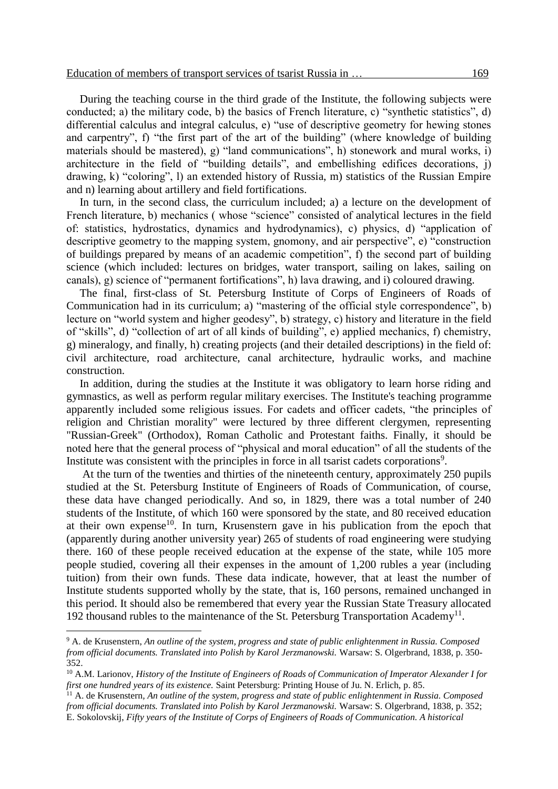During the teaching course in the third grade of the Institute, the following subjects were conducted; a) the military code, b) the basics of French literature, c) "synthetic statistics", d) differential calculus and integral calculus, e) "use of descriptive geometry for hewing stones and carpentry", f) "the first part of the art of the building" (where knowledge of building materials should be mastered), g) "land communications", h) stonework and mural works, i) architecture in the field of "building details", and embellishing edifices decorations, j) drawing, k) "coloring", l) an extended history of Russia, m) statistics of the Russian Empire and n) learning about artillery and field fortifications.

In turn, in the second class, the curriculum included; a) a lecture on the development of French literature, b) mechanics ( whose "science" consisted of analytical lectures in the field of: statistics, hydrostatics, dynamics and hydrodynamics), c) physics, d) "application of descriptive geometry to the mapping system, gnomony, and air perspective", e) "construction of buildings prepared by means of an academic competition", f) the second part of building science (which included: lectures on bridges, water transport, sailing on lakes, sailing on canals), g) science of "permanent fortifications", h) lava drawing, and i) coloured drawing.

The final, first-class of St. Petersburg Institute of Corps of Engineers of Roads of Communication had in its curriculum; a) "mastering of the official style correspondence", b) lecture on "world system and higher geodesy", b) strategy, c) history and literature in the field of "skills", d) "collection of art of all kinds of building", e) applied mechanics, f) chemistry, g) mineralogy, and finally, h) creating projects (and their detailed descriptions) in the field of: civil architecture, road architecture, canal architecture, hydraulic works, and machine construction.

In addition, during the studies at the Institute it was obligatory to learn horse riding and gymnastics, as well as perform regular military exercises. The Institute's teaching programme apparently included some religious issues. For cadets and officer cadets, "the principles of religion and Christian morality" were lectured by three different clergymen, representing "Russian-Greek" (Orthodox), Roman Catholic and Protestant faiths. Finally, it should be noted here that the general process of "physical and moral education" of all the students of the Institute was consistent with the principles in force in all tsarist cadets corporations<sup>9</sup>.

At the turn of the twenties and thirties of the nineteenth century, approximately 250 pupils studied at the St. Petersburg Institute of Engineers of Roads of Communication, of course, these data have changed periodically. And so, in 1829, there was a total number of 240 students of the Institute, of which 160 were sponsored by the state, and 80 received education at their own expense<sup>10</sup>. In turn, Krusenstern gave in his publication from the epoch that (apparently during another university year) 265 of students of road engineering were studying there. 160 of these people received education at the expense of the state, while 105 more people studied, covering all their expenses in the amount of 1,200 rubles a year (including tuition) from their own funds. These data indicate, however, that at least the number of Institute students supported wholly by the state, that is, 160 persons, remained unchanged in this period. It should also be remembered that every year the Russian State Treasury allocated 192 thousand rubles to the maintenance of the St. Petersburg Transportation Academy<sup>11</sup>.

<sup>9</sup> A. de Krusenstern, *An outline of the system, progress and state of public enlightenment in Russia. Composed from official documents. Translated into Polish by Karol Jerzmanowski.* Warsaw: S. Olgerbrand, 1838, p. 350- 352.

<sup>10</sup> A.M. Larionov, *History of the Institute of Engineers of Roads of Communication of Imperator Alexander I for first one hundred years of its existence.* Saint Petersburg: Printing House of Ju. N. Erlich, p. 85.

<sup>&</sup>lt;sup>11</sup> A. de Krusenstern, An outline of the system, progress and state of public enlightenment in Russia. Composed *from official documents. Translated into Polish by Karol Jerzmanowski.* Warsaw: S. Olgerbrand, 1838, p. 352; E. Sokolovskij, *Fifty years of the Institute of Corps of Engineers of Roads of Communication. A historical*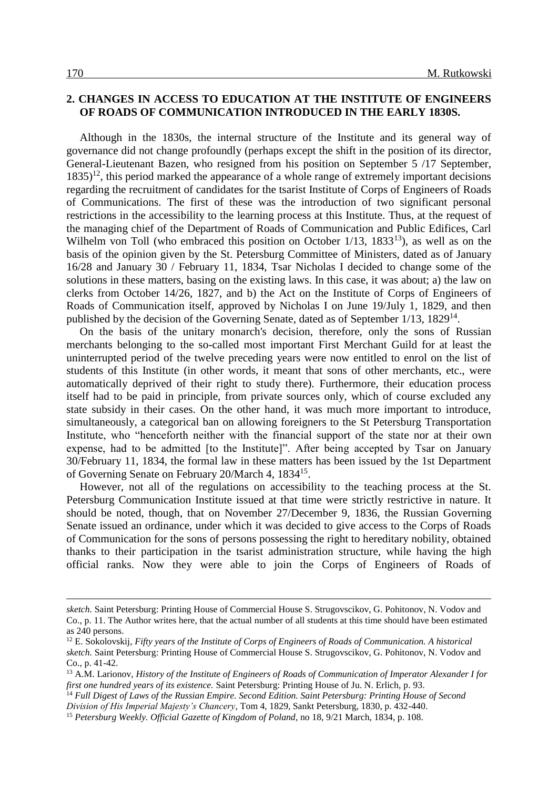### **2. CHANGES IN ACCESS TO EDUCATION AT THE INSTITUTE OF ENGINEERS OF ROADS OF COMMUNICATION INTRODUCED IN THE EARLY 1830S.**

Although in the 1830s, the internal structure of the Institute and its general way of governance did not change profoundly (perhaps except the shift in the position of its director, General-Lieutenant Bazen, who resigned from his position on September 5 /17 September,  $1835$ <sup>12</sup>, this period marked the appearance of a whole range of extremely important decisions regarding the recruitment of candidates for the tsarist Institute of Corps of Engineers of Roads of Communications. The first of these was the introduction of two significant personal restrictions in the accessibility to the learning process at this Institute. Thus, at the request of the managing chief of the Department of Roads of Communication and Public Edifices, Carl Wilhelm von Toll (who embraced this position on October  $1/13$ ,  $1833<sup>13</sup>$ ), as well as on the basis of the opinion given by the St. Petersburg Committee of Ministers, dated as of January 16/28 and January 30 / February 11, 1834, Tsar Nicholas I decided to change some of the solutions in these matters, basing on the existing laws. In this case, it was about; a) the law on clerks from October 14/26, 1827, and b) the Act on the Institute of Corps of Engineers of Roads of Communication itself, approved by Nicholas I on June 19/July 1, 1829, and then published by the decision of the Governing Senate, dated as of September 1/13, 1829<sup>14</sup>.

On the basis of the unitary monarch's decision, therefore, only the sons of Russian merchants belonging to the so-called most important First Merchant Guild for at least the uninterrupted period of the twelve preceding years were now entitled to enrol on the list of students of this Institute (in other words, it meant that sons of other merchants, etc., were automatically deprived of their right to study there). Furthermore, their education process itself had to be paid in principle, from private sources only, which of course excluded any state subsidy in their cases. On the other hand, it was much more important to introduce, simultaneously, a categorical ban on allowing foreigners to the St Petersburg Transportation Institute, who "henceforth neither with the financial support of the state nor at their own expense, had to be admitted [to the Institute]". After being accepted by Tsar on January 30/February 11, 1834, the formal law in these matters has been issued by the 1st Department of Governing Senate on February 20/March 4, 1834<sup>15</sup>.

However, not all of the regulations on accessibility to the teaching process at the St. Petersburg Communication Institute issued at that time were strictly restrictive in nature. It should be noted, though, that on November 27/December 9, 1836, the Russian Governing Senate issued an ordinance, under which it was decided to give access to the Corps of Roads of Communication for the sons of persons possessing the right to hereditary nobility, obtained thanks to their participation in the tsarist administration structure, while having the high official ranks. Now they were able to join the Corps of Engineers of Roads of

*sketch.* Saint Petersburg: Printing House of Commercial House S. Strugovscikov, G. Pohitonov, N. Vodov and Co., p. 11. The Author writes here, that the actual number of all students at this time should have been estimated as 240 persons.

<sup>12</sup> E. Sokolovskij, *Fifty years of the Institute of Corps of Engineers of Roads of Communication. A historical sketch.* Saint Petersburg: Printing House of Commercial House S. Strugovscikov, G. Pohitonov, N. Vodov and Co., p. 41-42.

<sup>13</sup> A.M. Larionov, *History of the Institute of Engineers of Roads of Communication of Imperator Alexander I for first one hundred years of its existence.* Saint Petersburg: Printing House of Ju. N. Erlich, p. 93.

<sup>14</sup> *Full Digest of Laws of the Russian Empire. Second Edition. Saint Petersburg: Printing House of Second Division of His Imperial Majesty's Chancery*, Tom 4, 1829, Sankt Petersburg, 1830, p. 432-440.

<sup>15</sup> *Petersburg Weekly. Official Gazette of Kingdom of Poland*, no 18, 9/21 March, 1834, p. 108.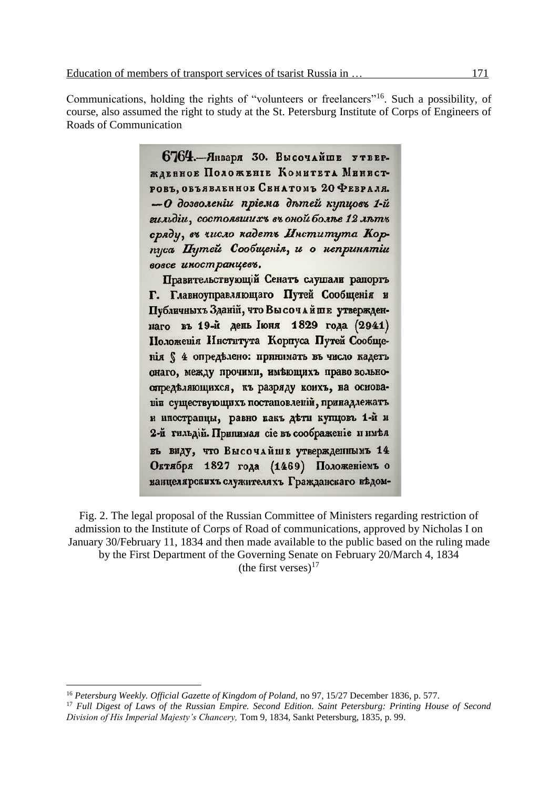Communications, holding the rights of "volunteers or freelancers"<sup>16</sup>. Such a possibility, of course, also assumed the right to study at the St. Petersburg Institute of Corps of Engineers of Roads of Communication

> 6764. - Января 30. Высочайше утвержденное Положение Комитета Минист-РОВЪ, ОБЪЯВЛЕННОЕ СЕНАТОМЪ 20 ФЕВРАЛЯ. -О дозволении прієма дътей купцовъ 1-й гильдіи, состоявших в въ оной болье 12 льть сряду, въ число кадетъ Института Корпуса Путей Сообщенія, и о непринятии вовсе иностранцевъ.

> Правительствующий Сенатъ слушали рапортъ Г. Главноуправляющаго Путей Сообщенія и Публичныхъ Зданій, что Вы сочайше утвержденнаго въ 19-й день Іюня 1829 года (2941) Положенія Института Корпуса Путей Сообщенія § 4 определено: принимать въ число кадетъ онаго, между прочими, имеющихъ право вольноопределяющихся, къ разряду коихъ, на осиовавів существующихъ постановленій, принадлежать и ипостранцы, равно какъ дети купцовъ 1-й и 2-й гильдій. Принимая сіе въ соображеніе и имея въ виду, что Высочайше утвержденнымъ 14 Октября 1827 года (1469) Положениемъ о канцелярскихъ служителяхъ Гражданскаго ведом-

Fig. 2. The legal proposal of the Russian Committee of Ministers regarding restriction of admission to the Institute of Corps of Road of communications, approved by Nicholas I on January 30/February 11, 1834 and then made available to the public based on the ruling made by the First Department of the Governing Senate on February 20/March 4, 1834 (the first verses) $^{17}$ 

<sup>16</sup> *Petersburg Weekly. Official Gazette of Kingdom of Poland,* no 97, 15/27 December 1836, p. 577.

<sup>17</sup> *Full Digest of Laws of the Russian Empire. Second Edition. Saint Petersburg: Printing House of Second Division of His Imperial Majesty's Chancery,* Tom 9, 1834, Sankt Petersburg, 1835, p. 99.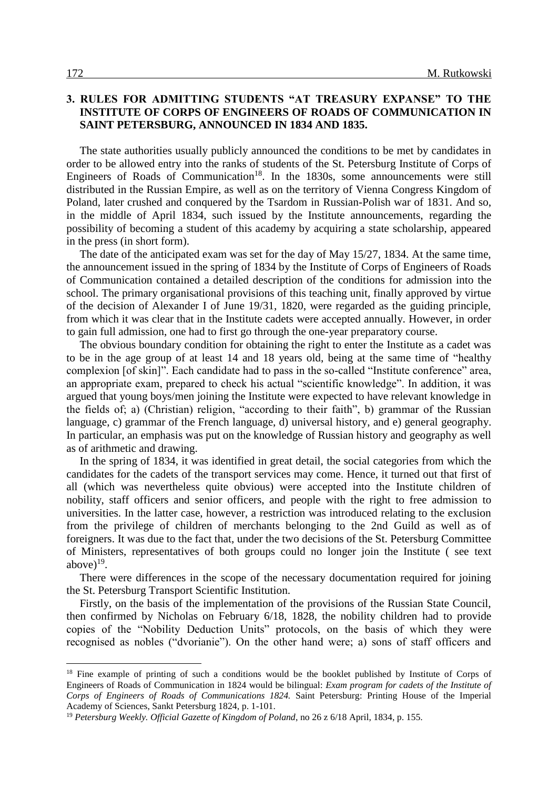### **3. RULES FOR ADMITTING STUDENTS "AT TREASURY EXPANSE" TO THE INSTITUTE OF CORPS OF ENGINEERS OF ROADS OF COMMUNICATION IN SAINT PETERSBURG, ANNOUNCED IN 1834 AND 1835.**

The state authorities usually publicly announced the conditions to be met by candidates in order to be allowed entry into the ranks of students of the St. Petersburg Institute of Corps of Engineers of Roads of Communication<sup>18</sup>. In the 1830s, some announcements were still distributed in the Russian Empire, as well as on the territory of Vienna Congress Kingdom of Poland, later crushed and conquered by the Tsardom in Russian-Polish war of 1831. And so, in the middle of April 1834, such issued by the Institute announcements, regarding the possibility of becoming a student of this academy by acquiring a state scholarship, appeared in the press (in short form).

The date of the anticipated exam was set for the day of May 15/27, 1834. At the same time, the announcement issued in the spring of 1834 by the Institute of Corps of Engineers of Roads of Communication contained a detailed description of the conditions for admission into the school. The primary organisational provisions of this teaching unit, finally approved by virtue of the decision of Alexander I of June 19/31, 1820, were regarded as the guiding principle, from which it was clear that in the Institute cadets were accepted annually. However, in order to gain full admission, one had to first go through the one-year preparatory course.

The obvious boundary condition for obtaining the right to enter the Institute as a cadet was to be in the age group of at least 14 and 18 years old, being at the same time of "healthy complexion [of skin]". Each candidate had to pass in the so-called "Institute conference" area, an appropriate exam, prepared to check his actual "scientific knowledge". In addition, it was argued that young boys/men joining the Institute were expected to have relevant knowledge in the fields of; a) (Christian) religion, "according to their faith", b) grammar of the Russian language, c) grammar of the French language, d) universal history, and e) general geography. In particular, an emphasis was put on the knowledge of Russian history and geography as well as of arithmetic and drawing.

In the spring of 1834, it was identified in great detail, the social categories from which the candidates for the cadets of the transport services may come. Hence, it turned out that first of all (which was nevertheless quite obvious) were accepted into the Institute children of nobility, staff officers and senior officers, and people with the right to free admission to universities. In the latter case, however, a restriction was introduced relating to the exclusion from the privilege of children of merchants belonging to the 2nd Guild as well as of foreigners. It was due to the fact that, under the two decisions of the St. Petersburg Committee of Ministers, representatives of both groups could no longer join the Institute ( see text above $)^{19}$ .

There were differences in the scope of the necessary documentation required for joining the St. Petersburg Transport Scientific Institution.

Firstly, on the basis of the implementation of the provisions of the Russian State Council, then confirmed by Nicholas on February 6/18, 1828, the nobility children had to provide copies of the "Nobility Deduction Units" protocols, on the basis of which they were recognised as nobles ("dvorianie"). On the other hand were; a) sons of staff officers and

<sup>&</sup>lt;sup>18</sup> Fine example of printing of such a conditions would be the booklet published by Institute of Corps of Engineers of Roads of Communication in 1824 would be bilingual: *Exam program for cadets of the Institute of Corps of Engineers of Roads of Communications 1824.* Saint Petersburg: Printing House of the Imperial Academy of Sciences, Sankt Petersburg 1824, p. 1-101.

<sup>19</sup> *Petersburg Weekly. Official Gazette of Kingdom of Poland*, no 26 z 6/18 April, 1834, p. 155.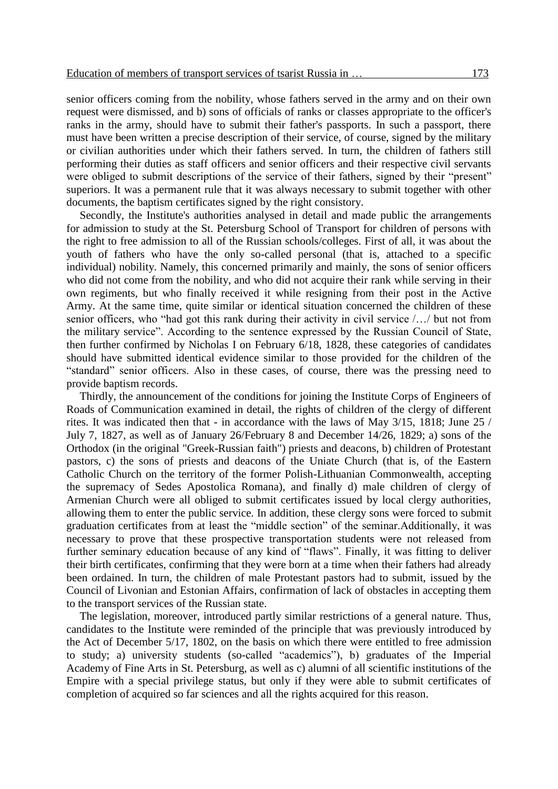senior officers coming from the nobility, whose fathers served in the army and on their own request were dismissed, and b) sons of officials of ranks or classes appropriate to the officer's ranks in the army, should have to submit their father's passports. In such a passport, there must have been written a precise description of their service, of course, signed by the military or civilian authorities under which their fathers served. In turn, the children of fathers still performing their duties as staff officers and senior officers and their respective civil servants were obliged to submit descriptions of the service of their fathers, signed by their "present" superiors. It was a permanent rule that it was always necessary to submit together with other documents, the baptism certificates signed by the right consistory.

Secondly, the Institute's authorities analysed in detail and made public the arrangements for admission to study at the St. Petersburg School of Transport for children of persons with the right to free admission to all of the Russian schools/colleges. First of all, it was about the youth of fathers who have the only so-called personal (that is, attached to a specific individual) nobility. Namely, this concerned primarily and mainly, the sons of senior officers who did not come from the nobility, and who did not acquire their rank while serving in their own regiments, but who finally received it while resigning from their post in the Active Army. At the same time, quite similar or identical situation concerned the children of these senior officers, who "had got this rank during their activity in civil service /…/ but not from the military service". According to the sentence expressed by the Russian Council of State, then further confirmed by Nicholas I on February 6/18, 1828, these categories of candidates should have submitted identical evidence similar to those provided for the children of the "standard" senior officers. Also in these cases, of course, there was the pressing need to provide baptism records.

Thirdly, the announcement of the conditions for joining the Institute Corps of Engineers of Roads of Communication examined in detail, the rights of children of the clergy of different rites. It was indicated then that - in accordance with the laws of May 3/15, 1818; June 25 / July 7, 1827, as well as of January 26/February 8 and December 14/26, 1829; a) sons of the Orthodox (in the original "Greek-Russian faith") priests and deacons, b) children of Protestant pastors, c) the sons of priests and deacons of the Uniate Church (that is, of the Eastern Catholic Church on the territory of the former Polish-Lithuanian Commonwealth, accepting the supremacy of Sedes Apostolica Romana), and finally d) male children of clergy of Armenian Church were all obliged to submit certificates issued by local clergy authorities, allowing them to enter the public service. In addition, these clergy sons were forced to submit graduation certificates from at least the "middle section" of the seminar.Additionally, it was necessary to prove that these prospective transportation students were not released from further seminary education because of any kind of "flaws". Finally, it was fitting to deliver their birth certificates, confirming that they were born at a time when their fathers had already been ordained. In turn, the children of male Protestant pastors had to submit, issued by the Council of Livonian and Estonian Affairs, confirmation of lack of obstacles in accepting them to the transport services of the Russian state.

The legislation, moreover, introduced partly similar restrictions of a general nature. Thus, candidates to the Institute were reminded of the principle that was previously introduced by the Act of December 5/17, 1802, on the basis on which there were entitled to free admission to study; a) university students (so-called "academics"), b) graduates of the Imperial Academy of Fine Arts in St. Petersburg, as well as c) alumni of all scientific institutions of the Empire with a special privilege status, but only if they were able to submit certificates of completion of acquired so far sciences and all the rights acquired for this reason.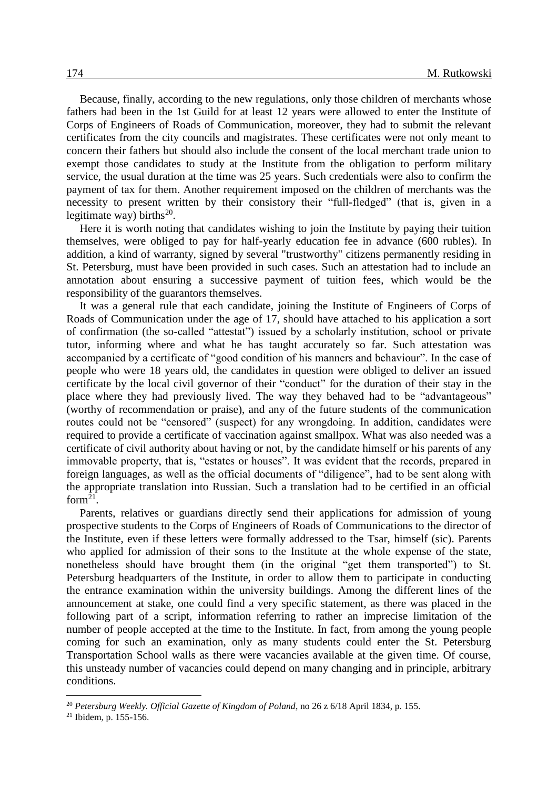Because, finally, according to the new regulations, only those children of merchants whose fathers had been in the 1st Guild for at least 12 years were allowed to enter the Institute of Corps of Engineers of Roads of Communication, moreover, they had to submit the relevant certificates from the city councils and magistrates. These certificates were not only meant to concern their fathers but should also include the consent of the local merchant trade union to exempt those candidates to study at the Institute from the obligation to perform military service, the usual duration at the time was 25 years. Such credentials were also to confirm the payment of tax for them. Another requirement imposed on the children of merchants was the necessity to present written by their consistory their "full-fledged" (that is, given in a legitimate way) births<sup>20</sup>.

Here it is worth noting that candidates wishing to join the Institute by paying their tuition themselves, were obliged to pay for half-yearly education fee in advance (600 rubles). In addition, a kind of warranty, signed by several "trustworthy" citizens permanently residing in St. Petersburg, must have been provided in such cases. Such an attestation had to include an annotation about ensuring a successive payment of tuition fees, which would be the responsibility of the guarantors themselves.

It was a general rule that each candidate, joining the Institute of Engineers of Corps of Roads of Communication under the age of 17, should have attached to his application a sort of confirmation (the so-called "attestat") issued by a scholarly institution, school or private tutor, informing where and what he has taught accurately so far. Such attestation was accompanied by a certificate of "good condition of his manners and behaviour". In the case of people who were 18 years old, the candidates in question were obliged to deliver an issued certificate by the local civil governor of their "conduct" for the duration of their stay in the place where they had previously lived. The way they behaved had to be "advantageous" (worthy of recommendation or praise), and any of the future students of the communication routes could not be "censored" (suspect) for any wrongdoing. In addition, candidates were required to provide a certificate of vaccination against smallpox. What was also needed was a certificate of civil authority about having or not, by the candidate himself or his parents of any immovable property, that is, "estates or houses". It was evident that the records, prepared in foreign languages, as well as the official documents of "diligence", had to be sent along with the appropriate translation into Russian. Such a translation had to be certified in an official form $^{21}$ .

Parents, relatives or guardians directly send their applications for admission of young prospective students to the Corps of Engineers of Roads of Communications to the director of the Institute, even if these letters were formally addressed to the Tsar, himself (sic). Parents who applied for admission of their sons to the Institute at the whole expense of the state, nonetheless should have brought them (in the original "get them transported") to St. Petersburg headquarters of the Institute, in order to allow them to participate in conducting the entrance examination within the university buildings. Among the different lines of the announcement at stake, one could find a very specific statement, as there was placed in the following part of a script, information referring to rather an imprecise limitation of the number of people accepted at the time to the Institute. In fact, from among the young people coming for such an examination, only as many students could enter the St. Petersburg Transportation School walls as there were vacancies available at the given time. Of course, this unsteady number of vacancies could depend on many changing and in principle, arbitrary conditions.

<sup>20</sup> *Petersburg Weekly. Official Gazette of Kingdom of Poland*, no 26 z 6/18 April 1834, p. 155.

<sup>&</sup>lt;sup>21</sup> Ibidem, p.  $155-156$ .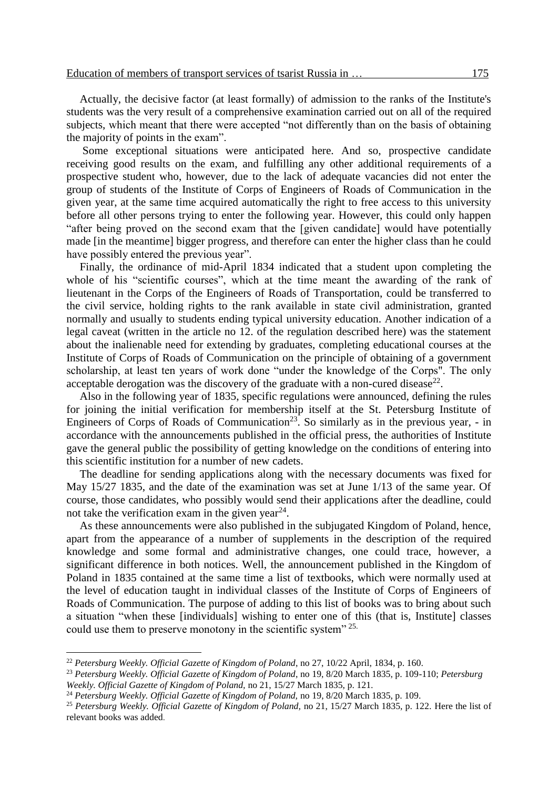Actually, the decisive factor (at least formally) of admission to the ranks of the Institute's students was the very result of a comprehensive examination carried out on all of the required subjects, which meant that there were accepted "not differently than on the basis of obtaining the majority of points in the exam".

Some exceptional situations were anticipated here. And so, prospective candidate receiving good results on the exam, and fulfilling any other additional requirements of a prospective student who, however, due to the lack of adequate vacancies did not enter the group of students of the Institute of Corps of Engineers of Roads of Communication in the given year, at the same time acquired automatically the right to free access to this university before all other persons trying to enter the following year. However, this could only happen "after being proved on the second exam that the [given candidate] would have potentially made [in the meantime] bigger progress, and therefore can enter the higher class than he could have possibly entered the previous year".

Finally, the ordinance of mid-April 1834 indicated that a student upon completing the whole of his "scientific courses", which at the time meant the awarding of the rank of lieutenant in the Corps of the Engineers of Roads of Transportation, could be transferred to the civil service, holding rights to the rank available in state civil administration, granted normally and usually to students ending typical university education. Another indication of a legal caveat (written in the article no 12. of the regulation described here) was the statement about the inalienable need for extending by graduates, completing educational courses at the Institute of Corps of Roads of Communication on the principle of obtaining of a government scholarship, at least ten years of work done "under the knowledge of the Corps". The only acceptable derogation was the discovery of the graduate with a non-cured disease<sup>22</sup>.

Also in the following year of 1835, specific regulations were announced, defining the rules for joining the initial verification for membership itself at the St. Petersburg Institute of Engineers of Corps of Roads of Communication<sup>23</sup>. So similarly as in the previous year, - in accordance with the announcements published in the official press, the authorities of Institute gave the general public the possibility of getting knowledge on the conditions of entering into this scientific institution for a number of new cadets.

The deadline for sending applications along with the necessary documents was fixed for May 15/27 1835, and the date of the examination was set at June 1/13 of the same year. Of course, those candidates, who possibly would send their applications after the deadline, could not take the verification exam in the given year $^{24}$ .

As these announcements were also published in the subjugated Kingdom of Poland, hence, apart from the appearance of a number of supplements in the description of the required knowledge and some formal and administrative changes, one could trace, however, a significant difference in both notices. Well, the announcement published in the Kingdom of Poland in 1835 contained at the same time a list of textbooks, which were normally used at the level of education taught in individual classes of the Institute of Corps of Engineers of Roads of Communication. The purpose of adding to this list of books was to bring about such a situation "when these [individuals] wishing to enter one of this (that is, Institute] classes could use them to preserve monotony in the scientific system" <sup>25.</sup>

<sup>22</sup> *Petersburg Weekly. Official Gazette of Kingdom of Poland*, no 27, 10/22 April, 1834, p. 160.

<sup>23</sup> *Petersburg Weekly. Official Gazette of Kingdom of Poland*, no 19, 8/20 March 1835, p. 109-110; *Petersburg Weekly. Official Gazette of Kingdom of Poland,* no 21, 15/27 March 1835, p. 121.

<sup>24</sup> *Petersburg Weekly. Official Gazette of Kingdom of Poland,* no 19, 8/20 March 1835, p. 109.

<sup>25</sup> *Petersburg Weekly. Official Gazette of Kingdom of Poland,* no 21, 15/27 March 1835, p. 122. Here the list of relevant books was added.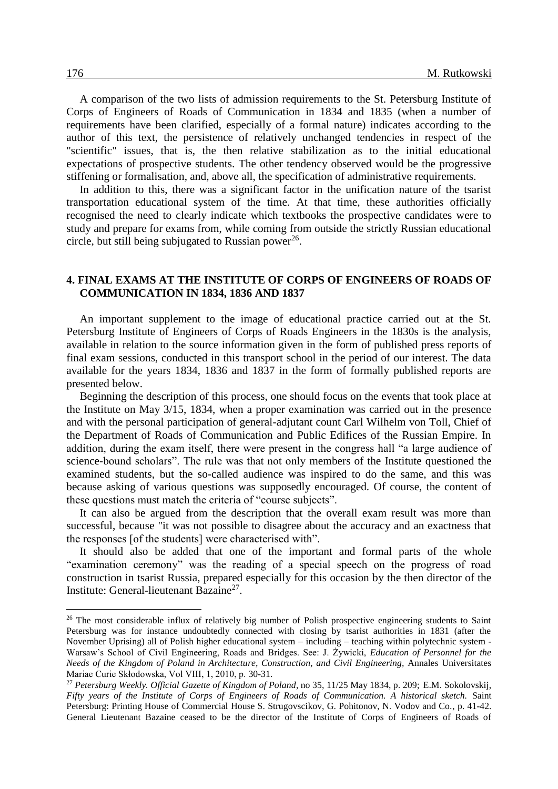A comparison of the two lists of admission requirements to the St. Petersburg Institute of Corps of Engineers of Roads of Communication in 1834 and 1835 (when a number of requirements have been clarified, especially of a formal nature) indicates according to the author of this text, the persistence of relatively unchanged tendencies in respect of the "scientific" issues, that is, the then relative stabilization as to the initial educational expectations of prospective students. The other tendency observed would be the progressive stiffening or formalisation, and, above all, the specification of administrative requirements.

In addition to this, there was a significant factor in the unification nature of the tsarist transportation educational system of the time. At that time, these authorities officially recognised the need to clearly indicate which textbooks the prospective candidates were to study and prepare for exams from, while coming from outside the strictly Russian educational circle, but still being subjugated to Russian power<sup>26</sup>.

#### **4. FINAL EXAMS AT THE INSTITUTE OF CORPS OF ENGINEERS OF ROADS OF COMMUNICATION IN 1834, 1836 AND 1837**

An important supplement to the image of educational practice carried out at the St. Petersburg Institute of Engineers of Corps of Roads Engineers in the 1830s is the analysis, available in relation to the source information given in the form of published press reports of final exam sessions, conducted in this transport school in the period of our interest. The data available for the years 1834, 1836 and 1837 in the form of formally published reports are presented below.

Beginning the description of this process, one should focus on the events that took place at the Institute on May 3/15, 1834, when a proper examination was carried out in the presence and with the personal participation of general-adjutant count Carl Wilhelm von Toll, Chief of the Department of Roads of Communication and Public Edifices of the Russian Empire. In addition, during the exam itself, there were present in the congress hall "a large audience of science-bound scholars". The rule was that not only members of the Institute questioned the examined students, but the so-called audience was inspired to do the same, and this was because asking of various questions was supposedly encouraged. Of course, the content of these questions must match the criteria of "course subjects".

It can also be argued from the description that the overall exam result was more than successful, because "it was not possible to disagree about the accuracy and an exactness that the responses [of the students] were characterised with".

It should also be added that one of the important and formal parts of the whole "examination ceremony" was the reading of a special speech on the progress of road construction in tsarist Russia, prepared especially for this occasion by the then director of the Institute: General-lieutenant Bazaine<sup>27</sup>.

<sup>&</sup>lt;sup>26</sup> The most considerable influx of relatively big number of Polish prospective engineering students to Saint Petersburg was for instance undoubtedly connected with closing by tsarist authorities in 1831 (after the November Uprising) all of Polish higher educational system – including – teaching within polytechnic system - Warsaw's School of Civil Engineering, Roads and Bridges. See: J. Żywicki, *Education of Personnel for the Needs of the Kingdom of Poland in Architecture, Construction, and Civil Engineering,* Annales Universitates Mariae Curie Skłodowska, Vol VIII, 1, 2010, p. 30-31.

<sup>27</sup> *Petersburg Weekly. Official Gazette of Kingdom of Poland*, no 35, 11/25 May 1834, p. 209; E.M. Sokolovskij, *Fifty years of the Institute of Corps of Engineers of Roads of Communication. A historical sketch.* Saint Petersburg: Printing House of Commercial House S. Strugovscikov, G. Pohitonov, N. Vodov and Co., p. 41-42. General Lieutenant Bazaine ceased to be the director of the Institute of Corps of Engineers of Roads of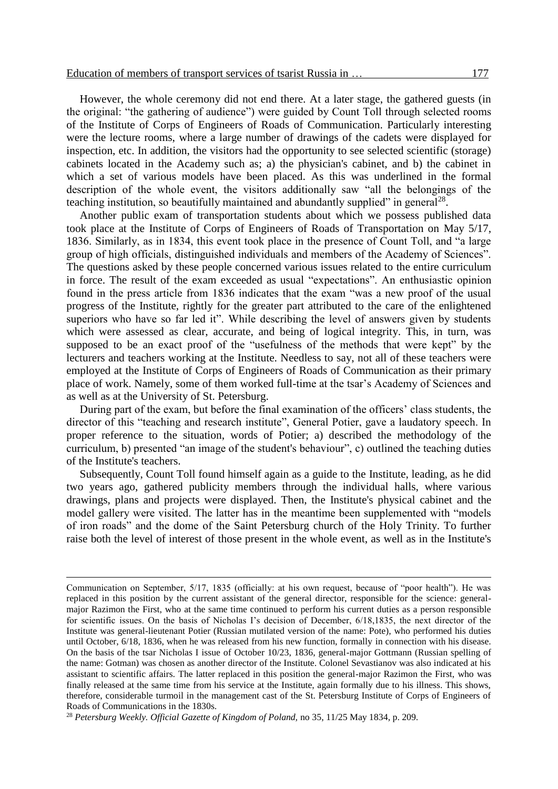However, the whole ceremony did not end there. At a later stage, the gathered guests (in the original: "the gathering of audience") were guided by Count Toll through selected rooms of the Institute of Corps of Engineers of Roads of Communication. Particularly interesting were the lecture rooms, where a large number of drawings of the cadets were displayed for inspection, etc. In addition, the visitors had the opportunity to see selected scientific (storage) cabinets located in the Academy such as; a) the physician's cabinet, and b) the cabinet in which a set of various models have been placed. As this was underlined in the formal description of the whole event, the visitors additionally saw "all the belongings of the teaching institution, so beautifully maintained and abundantly supplied" in general<sup>28</sup>.

Another public exam of transportation students about which we possess published data took place at the Institute of Corps of Engineers of Roads of Transportation on May 5/17, 1836. Similarly, as in 1834, this event took place in the presence of Count Toll, and "a large group of high officials, distinguished individuals and members of the Academy of Sciences". The questions asked by these people concerned various issues related to the entire curriculum in force. The result of the exam exceeded as usual "expectations". An enthusiastic opinion found in the press article from 1836 indicates that the exam "was a new proof of the usual progress of the Institute, rightly for the greater part attributed to the care of the enlightened superiors who have so far led it". While describing the level of answers given by students which were assessed as clear, accurate, and being of logical integrity. This, in turn, was supposed to be an exact proof of the "usefulness of the methods that were kept" by the lecturers and teachers working at the Institute. Needless to say, not all of these teachers were employed at the Institute of Corps of Engineers of Roads of Communication as their primary place of work. Namely, some of them worked full-time at the tsar's Academy of Sciences and as well as at the University of St. Petersburg.

During part of the exam, but before the final examination of the officers' class students, the director of this "teaching and research institute", General Potier, gave a laudatory speech. In proper reference to the situation, words of Potier; a) described the methodology of the curriculum, b) presented "an image of the student's behaviour", c) outlined the teaching duties of the Institute's teachers.

Subsequently, Count Toll found himself again as a guide to the Institute, leading, as he did two years ago, gathered publicity members through the individual halls, where various drawings, plans and projects were displayed. Then, the Institute's physical cabinet and the model gallery were visited. The latter has in the meantime been supplemented with "models of iron roads" and the dome of the Saint Petersburg church of the Holy Trinity. To further raise both the level of interest of those present in the whole event, as well as in the Institute's

Communication on September, 5/17, 1835 (officially: at his own request, because of "poor health"). He was replaced in this position by the current assistant of the general director, responsible for the science: generalmajor Razimon the First, who at the same time continued to perform his current duties as a person responsible for scientific issues. On the basis of Nicholas I's decision of December, 6/18,1835, the next director of the Institute was general-lieutenant Potier (Russian mutilated version of the name: Pote), who performed his duties until October, 6/18, 1836, when he was released from his new function, formally in connection with his disease. On the basis of the tsar Nicholas I issue of October 10/23, 1836, general-major Gottmann (Russian spelling of the name: Gotman) was chosen as another director of the Institute. Colonel Sevastianov was also indicated at his assistant to scientific affairs. The latter replaced in this position the general-major Razimon the First, who was finally released at the same time from his service at the Institute, again formally due to his illness. This shows, therefore, considerable turmoil in the management cast of the St. Petersburg Institute of Corps of Engineers of Roads of Communications in the 1830s.

<sup>28</sup> *Petersburg Weekly. Official Gazette of Kingdom of Poland,* no 35, 11/25 May 1834, p. 209.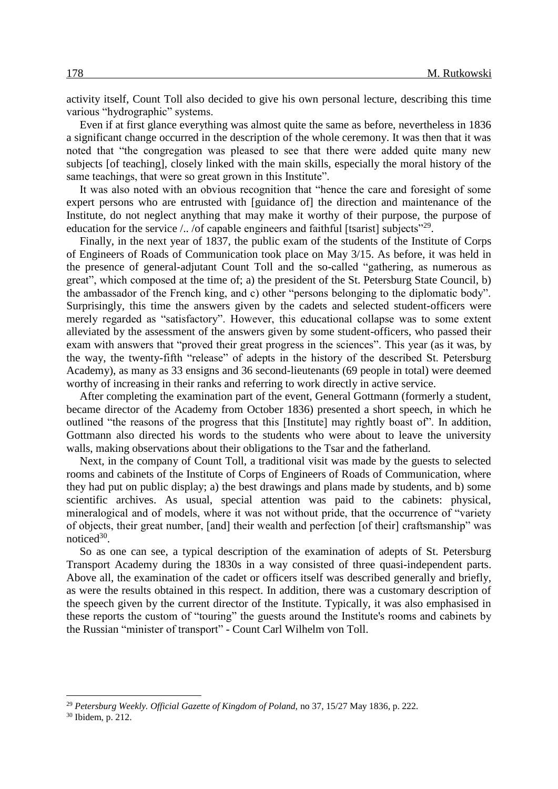activity itself, Count Toll also decided to give his own personal lecture, describing this time various "hydrographic" systems.

Even if at first glance everything was almost quite the same as before, nevertheless in 1836 a significant change occurred in the description of the whole ceremony. It was then that it was noted that "the congregation was pleased to see that there were added quite many new subjects [of teaching], closely linked with the main skills, especially the moral history of the same teachings, that were so great grown in this Institute".

It was also noted with an obvious recognition that "hence the care and foresight of some expert persons who are entrusted with [guidance of] the direction and maintenance of the Institute, do not neglect anything that may make it worthy of their purpose, the purpose of education for the service  $\Lambda$ . /of capable engineers and faithful [tsarist] subjects<sup> $29$ </sup>.

Finally, in the next year of 1837, the public exam of the students of the Institute of Corps of Engineers of Roads of Communication took place on May 3/15. As before, it was held in the presence of general-adjutant Count Toll and the so-called "gathering, as numerous as great", which composed at the time of; a) the president of the St. Petersburg State Council, b) the ambassador of the French king, and c) other "persons belonging to the diplomatic body". Surprisingly, this time the answers given by the cadets and selected student-officers were merely regarded as "satisfactory". However, this educational collapse was to some extent alleviated by the assessment of the answers given by some student-officers, who passed their exam with answers that "proved their great progress in the sciences". This year (as it was, by the way, the twenty-fifth "release" of adepts in the history of the described St. Petersburg Academy), as many as 33 ensigns and 36 second-lieutenants (69 people in total) were deemed worthy of increasing in their ranks and referring to work directly in active service.

After completing the examination part of the event, General Gottmann (formerly a student, became director of the Academy from October 1836) presented a short speech, in which he outlined "the reasons of the progress that this [Institute] may rightly boast of". In addition, Gottmann also directed his words to the students who were about to leave the university walls, making observations about their obligations to the Tsar and the fatherland.

Next, in the company of Count Toll, a traditional visit was made by the guests to selected rooms and cabinets of the Institute of Corps of Engineers of Roads of Communication, where they had put on public display; a) the best drawings and plans made by students, and b) some scientific archives. As usual, special attention was paid to the cabinets: physical, mineralogical and of models, where it was not without pride, that the occurrence of "variety of objects, their great number, [and] their wealth and perfection [of their] craftsmanship" was notice $d^{30}$ .

So as one can see, a typical description of the examination of adepts of St. Petersburg Transport Academy during the 1830s in a way consisted of three quasi-independent parts. Above all, the examination of the cadet or officers itself was described generally and briefly, as were the results obtained in this respect. In addition, there was a customary description of the speech given by the current director of the Institute. Typically, it was also emphasised in these reports the custom of "touring" the guests around the Institute's rooms and cabinets by the Russian "minister of transport" - Count Carl Wilhelm von Toll.

<sup>29</sup> *Petersburg Weekly. Official Gazette of Kingdom of Poland,* no 37, 15/27 May 1836, p. 222.

<sup>30</sup> Ibidem, p. 212.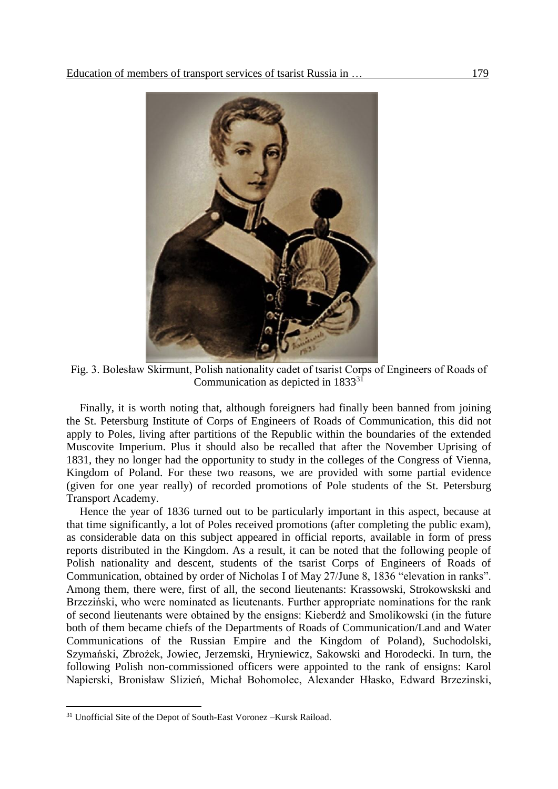

Fig. 3. Bolesław Skirmunt, Polish nationality cadet of tsarist Corps of Engineers of Roads of Communication as depicted in 1833<sup>31</sup>

Finally, it is worth noting that, although foreigners had finally been banned from joining the St. Petersburg Institute of Corps of Engineers of Roads of Communication, this did not apply to Poles, living after partitions of the Republic within the boundaries of the extended Muscovite Imperium. Plus it should also be recalled that after the November Uprising of 1831, they no longer had the opportunity to study in the colleges of the Congress of Vienna, Kingdom of Poland. For these two reasons, we are provided with some partial evidence (given for one year really) of recorded promotions of Pole students of the St. Petersburg Transport Academy.

Hence the year of 1836 turned out to be particularly important in this aspect, because at that time significantly, a lot of Poles received promotions (after completing the public exam), as considerable data on this subject appeared in official reports, available in form of press reports distributed in the Kingdom. As a result, it can be noted that the following people of Polish nationality and descent, students of the tsarist Corps of Engineers of Roads of Communication, obtained by order of Nicholas I of May 27/June 8, 1836 "elevation in ranks". Among them, there were, first of all, the second lieutenants: Krassowski, Strokowskski and Brzeziński, who were nominated as lieutenants. Further appropriate nominations for the rank of second lieutenants were obtained by the ensigns: Kieberdź and Smolikowski (in the future both of them became chiefs of the Departments of Roads of Communication/Land and Water Communications of the Russian Empire and the Kingdom of Poland), Suchodolski, Szymański, Zbrożek, Jowiec, Jerzemski, Hryniewicz, Sakowski and Horodecki. In turn, the following Polish non-commissioned officers were appointed to the rank of ensigns: Karol Napierski, Bronisław Slizień, Michał Bohomolec, Alexander Hłasko, Edward Brzezinski,

<sup>31</sup> Unofficial Site of the Depot of South-East Voronez –Kursk Raiload.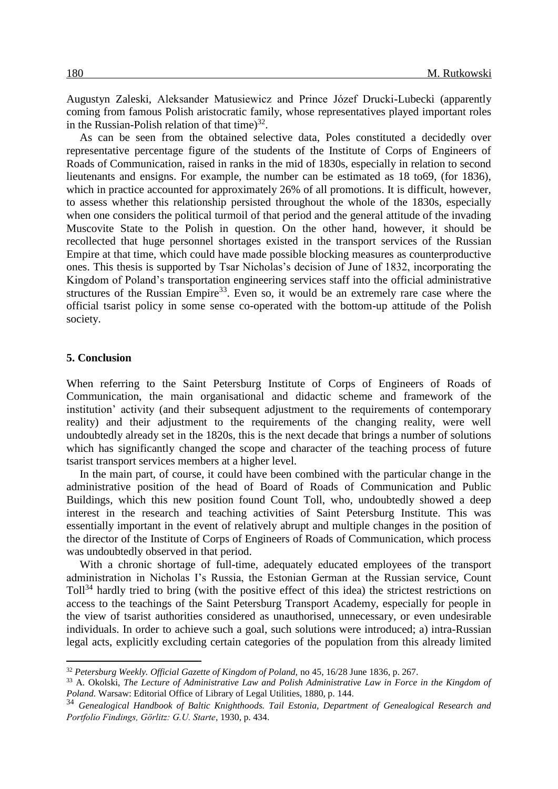Augustyn Zaleski, Aleksander Matusiewicz and Prince Józef Drucki-Lubecki (apparently coming from famous Polish aristocratic family, whose representatives played important roles in the Russian-Polish relation of that time) $^{32}$ .

As can be seen from the obtained selective data, Poles constituted a decidedly over representative percentage figure of the students of the Institute of Corps of Engineers of Roads of Communication, raised in ranks in the mid of 1830s, especially in relation to second lieutenants and ensigns. For example, the number can be estimated as 18 to69, (for 1836), which in practice accounted for approximately 26% of all promotions. It is difficult, however, to assess whether this relationship persisted throughout the whole of the 1830s, especially when one considers the political turmoil of that period and the general attitude of the invading Muscovite State to the Polish in question. On the other hand, however, it should be recollected that huge personnel shortages existed in the transport services of the Russian Empire at that time, which could have made possible blocking measures as counterproductive ones. This thesis is supported by Tsar Nicholas's decision of June of 1832, incorporating the Kingdom of Poland's transportation engineering services staff into the official administrative structures of the Russian Empire<sup>33</sup>. Even so, it would be an extremely rare case where the official tsarist policy in some sense co-operated with the bottom-up attitude of the Polish society.

#### **5. Conclusion**

 $\overline{a}$ 

When referring to the Saint Petersburg Institute of Corps of Engineers of Roads of Communication, the main organisational and didactic scheme and framework of the institution' activity (and their subsequent adjustment to the requirements of contemporary reality) and their adjustment to the requirements of the changing reality, were well undoubtedly already set in the 1820s, this is the next decade that brings a number of solutions which has significantly changed the scope and character of the teaching process of future tsarist transport services members at a higher level.

In the main part, of course, it could have been combined with the particular change in the administrative position of the head of Board of Roads of Communication and Public Buildings, which this new position found Count Toll, who, undoubtedly showed a deep interest in the research and teaching activities of Saint Petersburg Institute. This was essentially important in the event of relatively abrupt and multiple changes in the position of the director of the Institute of Corps of Engineers of Roads of Communication, which process was undoubtedly observed in that period.

With a chronic shortage of full-time, adequately educated employees of the transport administration in Nicholas I's Russia, the Estonian German at the Russian service, Count Toll<sup>34</sup> hardly tried to bring (with the positive effect of this idea) the strictest restrictions on access to the teachings of the Saint Petersburg Transport Academy, especially for people in the view of tsarist authorities considered as unauthorised, unnecessary, or even undesirable individuals. In order to achieve such a goal, such solutions were introduced; a) intra-Russian legal acts, explicitly excluding certain categories of the population from this already limited

<sup>32</sup> *Petersburg Weekly. Official Gazette of Kingdom of Poland,* no 45, 16/28 June 1836, p. 267.

<sup>33</sup> A. Okolski, *The Lecture of Administrative Law and Polish Administrative Law in Force in the Kingdom of Poland.* Warsaw: Editorial Office of Library of Legal Utilities, 1880, p. 144.

<sup>34</sup> *Genealogical Handbook of Baltic Knighthoods. Tail Estonia, Department of Genealogical Research and Portfolio Findings, Görlitz: G.U. Starte,* 1930, p. 434.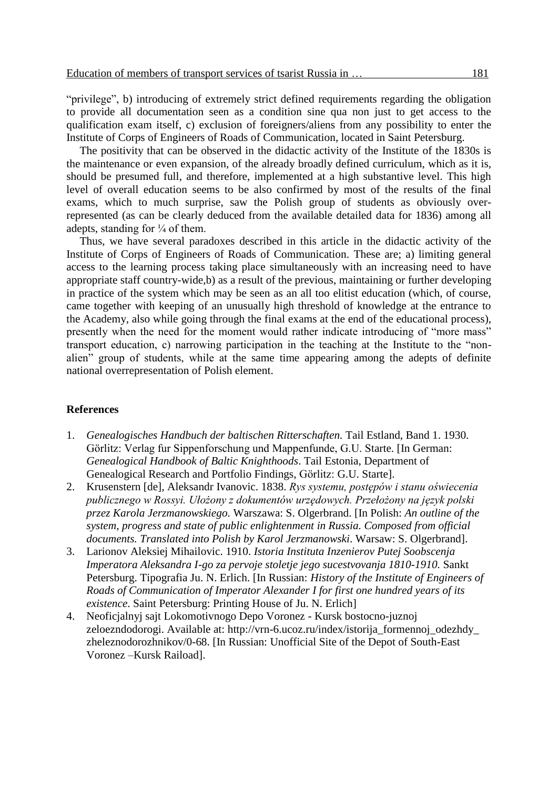"privilege", b) introducing of extremely strict defined requirements regarding the obligation to provide all documentation seen as a condition sine qua non just to get access to the qualification exam itself, c) exclusion of foreigners/aliens from any possibility to enter the Institute of Corps of Engineers of Roads of Communication, located in Saint Petersburg.

The positivity that can be observed in the didactic activity of the Institute of the 1830s is the maintenance or even expansion, of the already broadly defined curriculum, which as it is, should be presumed full, and therefore, implemented at a high substantive level. This high level of overall education seems to be also confirmed by most of the results of the final exams, which to much surprise, saw the Polish group of students as obviously overrepresented (as can be clearly deduced from the available detailed data for 1836) among all adepts, standing for  $\frac{1}{4}$  of them.

Thus, we have several paradoxes described in this article in the didactic activity of the Institute of Corps of Engineers of Roads of Communication. These are; a) limiting general access to the learning process taking place simultaneously with an increasing need to have appropriate staff country-wide,b) as a result of the previous, maintaining or further developing in practice of the system which may be seen as an all too elitist education (which, of course, came together with keeping of an unusually high threshold of knowledge at the entrance to the Academy, also while going through the final exams at the end of the educational process), presently when the need for the moment would rather indicate introducing of "more mass" transport education, c) narrowing participation in the teaching at the Institute to the "nonalien" group of students, while at the same time appearing among the adepts of definite national overrepresentation of Polish element.

#### **References**

- 1. *Genealogisches Handbuch der baltischen Ritterschaften.* Tail Estland, Band 1. 1930. Görlitz: Verlag fur Sippenforschung und Mappenfunde, G.U. Starte. [In German: *Genealogical Handbook of Baltic Knighthoods*. Tail Estonia, Department of Genealogical Research and Portfolio Findings, Görlitz: G.U. Starte].
- 2. Krusenstern [de], Aleksandr Ivanovic. 1838. *Rys systemu, postępów i stanu oświecenia publicznego w Rossyi. Ułożony z dokumentów urzędowych. Przełożony na język polski przez Karola Jerzmanowskiego.* Warszawa: S. Olgerbrand. [In Polish: *An outline of the system, progress and state of public enlightenment in Russia. Composed from official documents. Translated into Polish by Karol Jerzmanowski*. Warsaw: S. Olgerbrand].
- 3. Larionov Aleksiej Mihailovic. 1910. *Istoria Instituta Inzenierov Putej Soobscenja Imperatora Aleksandra I-go za pervoje stoletje jego sucestvovanja 1810-1910.* Sankt Petersburg. Tipografia Ju. N. Erlich. [In Russian: *History of the Institute of Engineers of Roads of Communication of Imperator Alexander I for first one hundred years of its existence*. Saint Petersburg: Printing House of Ju. N. Erlich]
- 4. Neoficjalnyj sajt Lokomotivnogo Depo Voronez Kursk bostocno-juznoj zeloezndodorogi. Available at: http://vrn-6.ucoz.ru/index/istorija\_formennoj\_odezhdy\_ zheleznodorozhnikov/0-68. [In Russian: Unofficial Site of the Depot of South-East Voronez –Kursk Raiload].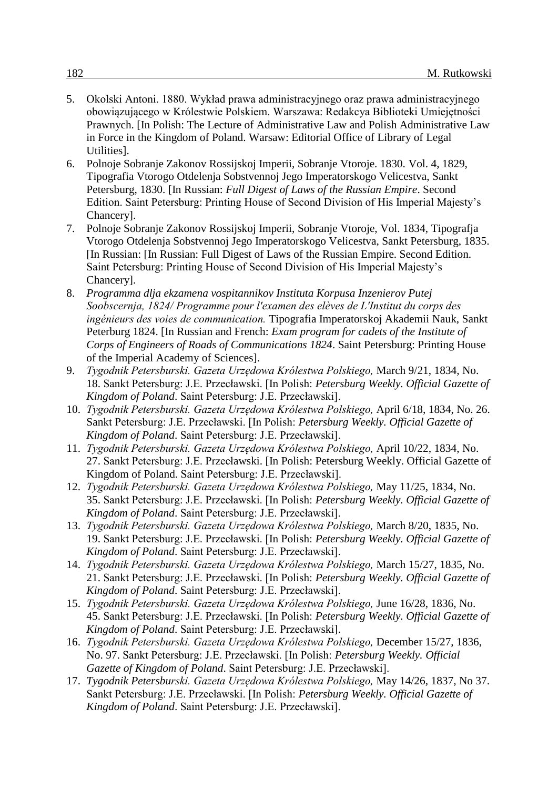- 5. Okolski Antoni. 1880. Wykład prawa administracyjnego oraz prawa administracyjnego obowiązującego w Królestwie Polskiem. Warszawa: Redakcya Biblioteki Umiejętności Prawnych. [In Polish: The Lecture of Administrative Law and Polish Administrative Law in Force in the Kingdom of Poland. Warsaw: Editorial Office of Library of Legal Utilities].
- 6. Polnoje Sobranje Zakonov Rossijskoj Imperii, Sobranje Vtoroje. 1830. Vol. 4, 1829, Tipografia Vtorogo Otdelenja Sobstvennoj Jego Imperatorskogo Velicestva, Sankt Petersburg, 1830. [In Russian: *Full Digest of Laws of the Russian Empire*. Second Edition. Saint Petersburg: Printing House of Second Division of His Imperial Majesty's Chancery].
- 7. Polnoje Sobranje Zakonov Rossijskoj Imperii, Sobranje Vtoroje, Vol. 1834, Tipografja Vtorogo Otdelenja Sobstvennoj Jego Imperatorskogo Velicestva, Sankt Petersburg, 1835. [In Russian: [In Russian: Full Digest of Laws of the Russian Empire. Second Edition. Saint Petersburg: Printing House of Second Division of His Imperial Majesty's Chancery].
- 8. *Programma dlja ekzamena vospitannikov Instituta Korpusa Inzenierov Putej Soobscernja, 1824/ Programme pour l'examen des elèves de L'Institut du corps des ingénieurs des voies de communication.* Tipografia Imperatorskoj Akademii Nauk, Sankt Peterburg 1824. [In Russian and French: *Exam program for cadets of the Institute of Corps of Engineers of Roads of Communications 1824*. Saint Petersburg: Printing House of the Imperial Academy of Sciences].
- 9. *Tygodnik Petersburski. Gazeta Urzędowa Królestwa Polskiego,* March 9/21, 1834, No. 18. Sankt Petersburg: J.E. Przecławski. [In Polish: *Petersburg Weekly. Official Gazette of Kingdom of Poland*. Saint Petersburg: J.E. Przecławski].
- 10. *Tygodnik Petersburski. Gazeta Urzędowa Królestwa Polskiego,* April 6/18, 1834, No. 26. Sankt Petersburg: J.E. Przecławski. [In Polish: *Petersburg Weekly. Official Gazette of Kingdom of Poland*. Saint Petersburg: J.E. Przecławski].
- 11. *Tygodnik Petersburski. Gazeta Urzędowa Królestwa Polskiego,* April 10/22, 1834, No. 27. Sankt Petersburg: J.E. Przecławski. [In Polish: Petersburg Weekly. Official Gazette of Kingdom of Poland. Saint Petersburg: J.E. Przecławski].
- 12. *Tygodnik Petersburski. Gazeta Urzędowa Królestwa Polskiego,* May 11/25, 1834, No. 35. Sankt Petersburg: J.E. Przecławski. [In Polish: *Petersburg Weekly. Official Gazette of Kingdom of Poland*. Saint Petersburg: J.E. Przecławski].
- 13. *Tygodnik Petersburski. Gazeta Urzędowa Królestwa Polskiego,* March 8/20, 1835, No. 19. Sankt Petersburg: J.E. Przecławski. [In Polish: *Petersburg Weekly. Official Gazette of Kingdom of Poland*. Saint Petersburg: J.E. Przecławski].
- 14. *Tygodnik Petersburski. Gazeta Urzędowa Królestwa Polskiego,* March 15/27, 1835, No. 21. Sankt Petersburg: J.E. Przecławski. [In Polish: *Petersburg Weekly. Official Gazette of Kingdom of Poland*. Saint Petersburg: J.E. Przecławski].
- 15. *Tygodnik Petersburski. Gazeta Urzędowa Królestwa Polskiego,* June 16/28, 1836, No. 45. Sankt Petersburg: J.E. Przecławski. [In Polish: *Petersburg Weekly. Official Gazette of Kingdom of Poland*. Saint Petersburg: J.E. Przecławski].
- 16. *Tygodnik Petersburski. Gazeta Urzędowa Królestwa Polskiego,* December 15/27, 1836, No. 97. Sankt Petersburg: J.E. Przecławski. [In Polish: *Petersburg Weekly. Official Gazette of Kingdom of Poland*. Saint Petersburg: J.E. Przecławski].
- 17. *Tygodnik Petersburski. Gazeta Urzędowa Królestwa Polskiego,* May 14/26, 1837, No 37. Sankt Petersburg: J.E. Przecławski. [In Polish: *Petersburg Weekly. Official Gazette of Kingdom of Poland*. Saint Petersburg: J.E. Przecławski].